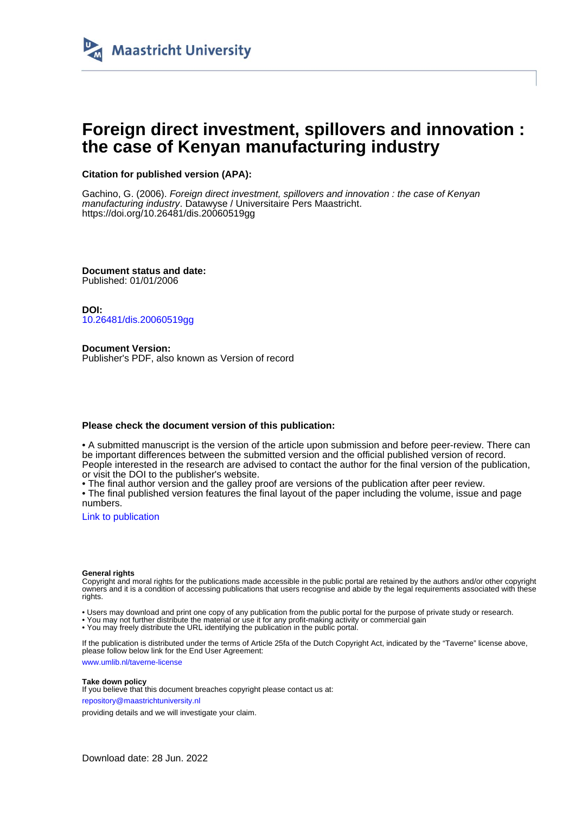

# **Foreign direct investment, spillovers and innovation : the case of Kenyan manufacturing industry**

# **Citation for published version (APA):**

Gachino, G. (2006). Foreign direct investment, spillovers and innovation : the case of Kenyan manufacturing industry. Datawyse / Universitaire Pers Maastricht. <https://doi.org/10.26481/dis.20060519gg>

**Document status and date:** Published: 01/01/2006

**DOI:** [10.26481/dis.20060519gg](https://doi.org/10.26481/dis.20060519gg)

**Document Version:** Publisher's PDF, also known as Version of record

## **Please check the document version of this publication:**

• A submitted manuscript is the version of the article upon submission and before peer-review. There can be important differences between the submitted version and the official published version of record. People interested in the research are advised to contact the author for the final version of the publication, or visit the DOI to the publisher's website.

• The final author version and the galley proof are versions of the publication after peer review.

• The final published version features the final layout of the paper including the volume, issue and page numbers.

[Link to publication](https://cris.maastrichtuniversity.nl/en/publications/c00d40b8-ccc6-4a95-b8b6-8e6aba7d72fe)

#### **General rights**

Copyright and moral rights for the publications made accessible in the public portal are retained by the authors and/or other copyright owners and it is a condition of accessing publications that users recognise and abide by the legal requirements associated with these rights.

• Users may download and print one copy of any publication from the public portal for the purpose of private study or research.

• You may not further distribute the material or use it for any profit-making activity or commercial gain

• You may freely distribute the URL identifying the publication in the public portal.

If the publication is distributed under the terms of Article 25fa of the Dutch Copyright Act, indicated by the "Taverne" license above, please follow below link for the End User Agreement:

www.umlib.nl/taverne-license

#### **Take down policy**

If you believe that this document breaches copyright please contact us at: repository@maastrichtuniversity.nl

providing details and we will investigate your claim.